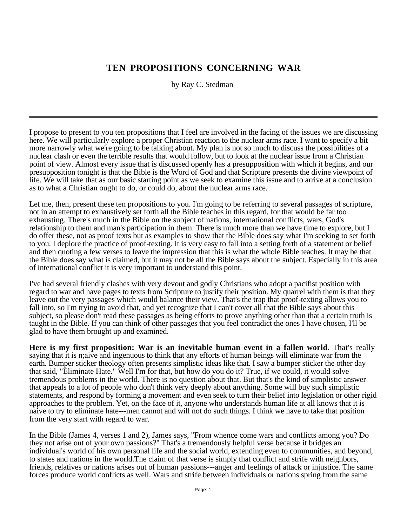## **TEN PROPOSITIONS CONCERNING WAR**

by Ray C. Stedman

I propose to present to you ten propositions that I feel are involved in the facing of the issues we are discussing here. We will particularly explore a proper Christian reaction to the nuclear arms race. I want to specify a bit more narrowly what we're going to be talking about. My plan is not so much to discuss the possibilities of a nuclear clash or even the terrible results that would follow, but to look at the nuclear issue from a Christian point of view. Almost every issue that is discussed openly has a presupposition with which it begins, and our presupposition tonight is that the Bible is the Word of God and that Scripture presents the divine viewpoint of life. We will take that as our basic starting point as we seek to examine this issue and to arrive at a conclusion as to what a Christian ought to do, or could do, about the nuclear arms race.

Let me, then, present these ten propositions to you. I'm going to be referring to several passages of scripture, not in an attempt to exhaustively set forth all the Bible teaches in this regard, for that would be far too exhausting. There's much in the Bible on the subject of nations, international conflicts, wars, God's relationship to them and man's participation in them. There is much more than we have time to explore, but I do offer these, not as proof texts but as examples to show that the Bible does say what I'm seeking to set forth to you. I deplore the practice of proof-texting. It is very easy to fall into a setting forth of a statement or belief and then quoting a few verses to leave the impression that this is what the whole Bible teaches. It may be that the Bible does say what is claimed, but it may not be all the Bible says about the subject. Especially in this area of international conflict it is very important to understand this point.

I've had several friendly clashes with very devout and godly Christians who adopt a pacifist position with regard to war and have pages to texts from Scripture to justify their position. My quarrel with them is that they leave out the very passages which would balance their view. That's the trap that proof-texting allows you to fall into, so I'm trying to avoid that, and yet recognize that I can't cover all that the Bible says about this subject, so please don't read these passages as being efforts to prove anything other than that a certain truth is taught in the Bible. If you can think of other passages that you feel contradict the ones I have chosen, I'll be glad to have them brought up and examined.

**Here is my first proposition: War is an inevitable human event in a fallen world.** That's really saying that it is n;aive and ingenuous to think that any efforts of human beings will eliminate war from the earth. Bumper sticker theology often presents simplistic ideas like that. I saw a bumper sticker the other day that said, "Eliminate Hate." Well I'm for that, but how do you do it? True, if we could, it would solve tremendous problems in the world. There is no question about that. But that's the kind of simplistic answer that appeals to a lot of people who don't think very deeply about anything. Some will buy such simplistic statements, and respond by forming a movement and even seek to turn their belief into legislation or other rigid approaches to the problem. Yet, on the face of it, anyone who understands human life at all knows that it is naive to try to eliminate hate---men cannot and will not do such things. I think we have to take that position from the very start with regard to war.

In the Bible (James 4, verses 1 and 2), James says, "From whence come wars and conflicts among you? Do they not arise out of your own passions?" That's a tremendously helpful verse because it bridges an individual's world of his own personal life and the social world, extending even to communities, and beyond, to states and nations in the world.The claim of that verse is simply that conflict and strife with neighbors, friends, relatives or nations arises out of human passions---anger and feelings of attack or injustice. The same forces produce world conflicts as well. Wars and strife between individuals or nations spring from the same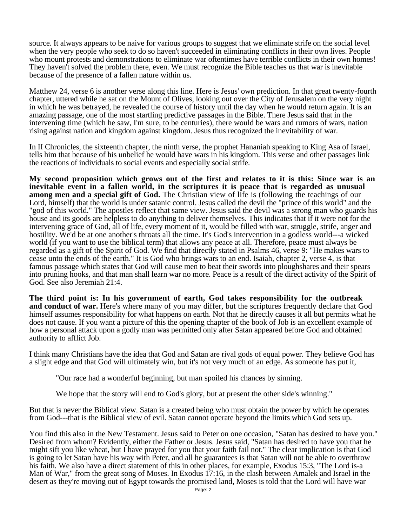source. It always appears to be naive for various groups to suggest that we eliminate strife on the social level when the very people who seek to do so haven't succeeded in eliminating conflicts in their own lives. People who mount protests and demonstrations to eliminate war oftentimes have terrible conflicts in their own homes! They haven't solved the problem there, even. We must recognize the Bible teaches us that war is inevitable because of the presence of a fallen nature within us.

Matthew 24, verse 6 is another verse along this line. Here is Jesus' own prediction. In that great twenty-fourth chapter, uttered while he sat on the Mount of Olives, looking out over the City of Jerusalem on the very night in which he was betrayed, he revealed the course of history until the day when he would return again. It is an amazing passage, one of the most startling predictive passages in the Bible. There Jesus said that in the intervening time (which he saw, I'm sure, to be centuries), there would be wars and rumors of wars, nation rising against nation and kingdom against kingdom. Jesus thus recognized the inevitability of war.

In II Chronicles, the sixteenth chapter, the ninth verse, the prophet Hananiah speaking to King Asa of Israel, tells him that because of his unbelief he would have wars in his kingdom. This verse and other passages link the reactions of individuals to social events and especially social strife.

**My second proposition which grows out of the first and relates to it is this: Since war is an inevitable event in a fallen world, in the scriptures it is peace that is regarded as unusual among men and a special gift of God.** The Christian view of life is (following the teachings of our Lord, himself) that the world is under satanic control. Jesus called the devil the "prince of this world" and the "god of this world." The apostles reflect that same view. Jesus said the devil was a strong man who guards his house and its goods are helpless to do anything to deliver themselves. This indicates that if it were not for the intervening grace of God, all of life, every moment of it, would be filled with war, struggle, strife, anger and hostility. We'd be at one another's throats all the time. It's God's intervention in a godless world---a wicked world (if you want to use the biblical term) that allows any peace at all. Therefore, peace must always be regarded as a gift of the Spirit of God. We find that directly stated in Psalms 46, verse 9: "He makes wars to cease unto the ends of the earth." It is God who brings wars to an end. Isaiah, chapter 2, verse 4, is that famous passage which states that God will cause men to beat their swords into ploughshares and their spears into pruning hooks, and that man shall learn war no more. Peace is a result of the direct activity of the Spirit of God. See also Jeremiah 21:4.

**The third point is: In his government of earth, God takes responsibility for the outbreak and conduct of war.** Here's where many of you may differ, but the scriptures frequently declare that God himself assumes responsibility for what happens on earth. Not that he directly causes it all but permits what he does not cause. If you want a picture of this the opening chapter of the book of Job is an excellent example of how a personal attack upon a godly man was permitted only after Satan appeared before God and obtained authority to afflict Job.

I think many Christians have the idea that God and Satan are rival gods of equal power. They believe God has a slight edge and that God will ultimately win, but it's not very much of an edge. As someone has put it,

"Our race had a wonderful beginning, but man spoiled his chances by sinning.

We hope that the story will end to God's glory, but at present the other side's winning."

But that is never the Biblical view. Satan is a created being who must obtain the power by which he operates from God---that is the Biblical view of evil. Satan cannot operate beyond the limits which God sets up.

You find this also in the New Testament. Jesus said to Peter on one occasion, "Satan has desired to have you." Desired from whom? Evidently, either the Father or Jesus. Jesus said, "Satan has desired to have you that he might sift you like wheat, but I have prayed for you that your faith fail not." The clear implication is that God is going to let Satan have his way with Peter, and all he guarantees is that Satan will not be able to overthrow his faith. We also have a direct statement of this in other places, for example, Exodus 15:3, "The Lord is-a Man of War," from the great song of Moses. In Exodus 17:16, in the clash between Amalek and Israel in the desert as they're moving out of Egypt towards the promised land, Moses is told that the Lord will have war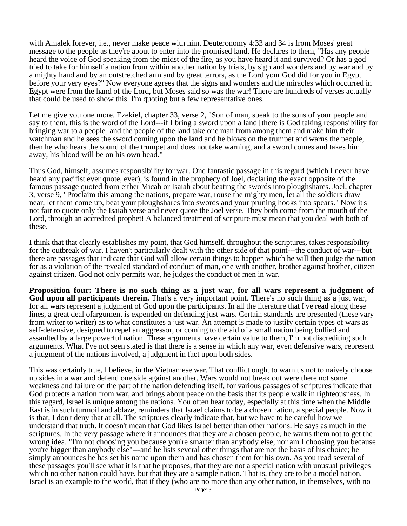with Amalek forever, i.e., never make peace with him. Deuteronomy 4:33 and 34 is from Moses' great message to the people as they're about to enter into the promised land. He declares to them, "Has any people heard the voice of God speaking from the midst of the fire, as you have heard it and survived? Or has a god tried to take for himself a nation from within another nation by trials, by sign and wonders and by war and by a mighty hand and by an outstretched arm and by great terrors, as the Lord your God did for you in Egypt before your very eyes?" Now everyone agrees that the signs and wonders and the miracles which occurred in Egypt were from the hand of the Lord, but Moses said so was the war! There are hundreds of verses actually that could be used to show this. I'm quoting but a few representative ones.

Let me give you one more. Ezekiel, chapter 33, verse 2, "Son of man, speak to the sons of your people and say to them, this is the word of the Lord---if I bring a sword upon a land [there is God taking responsibility for bringing war to a people] and the people of the land take one man from among them and make him their watchman and he sees the sword coming upon the land and he blows on the trumpet and warns the people, then he who hears the sound of the trumpet and does not take warning, and a sword comes and takes him away, his blood will be on his own head."

Thus God, himself, assumes responsibility for war. One fantastic passage in this regard (which I never have heard any pacifist ever quote, ever), is found in the prophecy of Joel, declaring the exact opposite of the famous passage quoted from either Micah or Isaiah about beating the swords into ploughshares. Joel, chapter 3, verse 9, "Proclaim this among the nations, prepare war, rouse the mighty men, let all the soldiers draw near, let them come up, beat your ploughshares into swords and your pruning hooks into spears." Now it's not fair to quote only the Isaiah verse and never quote the Joel verse. They both come from the mouth of the Lord, through an accredited prophet! A balanced treatment of scripture must mean that you deal with both of these.

I think that that clearly establishes my point, that God himself. throughout the scriptures, takes responsibility for the outbreak of war. I haven't particularly dealt with the other side of that point---the conduct of war---but there are passages that indicate that God will allow certain things to happen which he will then judge the nation for as a violation of the revealed standard of conduct of man, one with another, brother against brother, citizen against citizen. God not only permits war, he judges the conduct of men in war.

**Proposition four: There is no such thing as a just war, for all wars represent a judgment of God upon all participants therein.** That's a very important point. There's no such thing as a just war, for all wars represent a judgment of God upon the participants. In all the literature that I've read along these lines, a great deal ofargument is expended on defending just wars. Certain standards are presented (these vary from writer to writer) as to what constitutes a just war. An attempt is made to justify certain types of wars as self-defensive, designed to repel an aggressor, or coming to the aid of a small nation being bullied and assaulted by a large powerful nation. These arguments have certain value to them, I'm not discrediting such arguments. What I've not seen stated is that there is a sense in which any war, even defensive wars, represent a judgment of the nations involved, a judgment in fact upon both sides.

This was certainly true, I believe, in the Vietnamese war. That conflict ought to warn us not to naively choose up sides in a war and defend one side against another. Wars would not break out were there not some weakness and failure on the part of the nation defending itself, for various passages of scriptures indicate that God protects a nation from war, and brings about peace on the basis that its people walk in righteousness. In this regard, Israel is unique among the nations. You often hear today, especially at this time when the Middle East is in such turmoil and ablaze, reminders that Israel claims to be a chosen nation, a special people. Now it is that, I don't deny that at all. The scriptures clearly indicate that, but we have to be careful how we understand that truth. It doesn't mean that God likes Israel better than other nations. He says as much in the scriptures. In the very passage where it announces that they are a chosen people, he warns them not to get the wrong idea. "I'm not choosing you because you're smarter than anybody else, nor am I choosing you because you're bigger than anybody else"---and he lists several other things that are not the basis of his choice; he simply announces he has set his name upon them and has chosen them for his own. As you read several of these passages you'll see what it is that he proposes, that they are not a special nation with unusual privileges which no other nation could have, but that they are a sample nation. That is, they are to be a model nation. Israel is an example to the world, that if they (who are no more than any other nation, in themselves, with no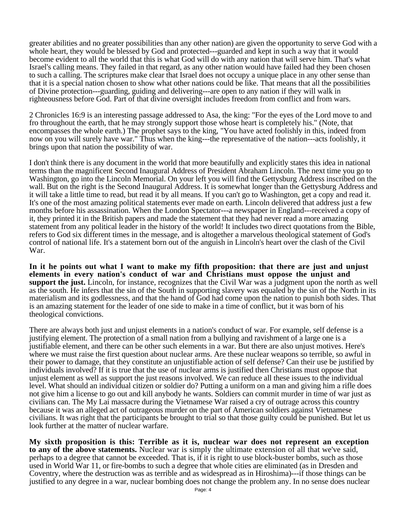greater abilities and no greater possibilities than any other nation) are given the opportunity to serve God with a whole heart, they would be blessed by God and protected---guarded and kept in such a way that it would become evident to all the world that this is what God will do with any nation that will serve him. That's what Israel's calling means. They failed in that regard, as any other nation would have failed had they been chosen to such a calling. The scriptures make clear that Israel does not occupy a unique place in any other sense than that it is a special nation chosen to show what other nations could be like. That means that all the possibilities of Divine protection---guarding, guiding and delivering---are open to any nation if they will walk in righteousness before God. Part of that divine oversight includes freedom from conflict and from wars.

2 Chronicles 16:9 is an interesting passage addressed to Asa, the king: "For the eyes of the Lord move to and fro throughout the earth, that he may strongly support those whose heart is completely his." (Note, that encompasses the whole earth.) The prophet says to the king, "You have acted foolishly in this, indeed from now on you will surely have war." Thus when the king---the representative of the nation---acts foolishly, it brings upon that nation the possibility of war.

I don't think there is any document in the world that more beautifully and explicitly states this idea in national terms than the magnificent Second Inaugural Address of President Abraham Lincoln. The next time you go to Washington, go into the Lincoln Memorial. On your left you will find the Gettysburg Address inscribed on the wall. But on the right is the Second Inaugural Address. It is somewhat longer than the Gettysburg Address and it will take a little time to read, but read it by all means. If you can't go to Washington, get a copy and read it. It's one of the most amazing political statements ever made on earth. Lincoln delivered that address just a few months before his assassination. When the London Spectator---a newspaper in England---received a copy of it, they printed it in the British papers and made the statement that they had never read a more amazing statement from any political leader in the history of the world! It includes two direct quotations from the Bible, refers to God six different times in the message, and is altogether a marvelous theological statement of God's control of national life. It's a statement born out of the anguish in Lincoln's heart over the clash of the Civil War.

**In it he points out what I want to make my fifth proposition: that there are just and unjust elements in every nation's conduct of war and Christians must oppose the unjust and support the just.** Lincoln, for instance, recognizes that the Civil War was a judgment upon the north as well as the south. He infers that the sin of the South in supporting slavery was equaled by the sin of the North in its materialism and its godlessness, and that the hand of God had come upon the nation to punish both sides. That is an amazing statement for the leader of one side to make in a time of conflict, but it was born of his theological convictions.

There are always both just and unjust elements in a nation's conduct of war. For example, self defense is a justifying element. The protection of a small nation from a bullying and ravishment of a large one is a justifiable element, and there can be other such elements in a war. But there are also unjust motives. Here's where we must raise the first question about nuclear arms. Are these nuclear weapons so terrible, so awful in their power to damage, that they constitute an unjustifiable action of self defense? Can their use be justified by individuals involved? If it is true that the use of nuclear arms is justified then Christians must oppose that unjust element as well as support the just reasons involved. We can reduce all these issues to the individual level. What should an individual citizen or soldier do? Putting a uniform on a man and giving him a rifle does not give him a license to go out and kill anybody he wants. Soldiers can commit murder in time of war just as civilians can. The My Lai massacre during the Vietnamese War raised a cry of outrage across this country because it was an alleged act of outrageous murder on the part of American soldiers against Vietnamese civilians. It was right that the participants be brought to trial so that those guilty could be punished. But let us look further at the matter of nuclear warfare.

**My sixth proposition is this: Terrible as it is, nuclear war does not represent an exception to any of the above statements.** Nuclear war is simply the ultimate extension of all that we've said, perhaps to a degree that cannot be exceeded. That is, if it is right to use block-buster bombs, such as those used in World War 11, or fire-bombs to such a degree that whole cities are eliminated (as in Dresden and Coventry, where the destruction was as terrible and as widespread as in Hiroshima)---if those things can be justified to any degree in a war, nuclear bombing does not change the problem any. In no sense does nuclear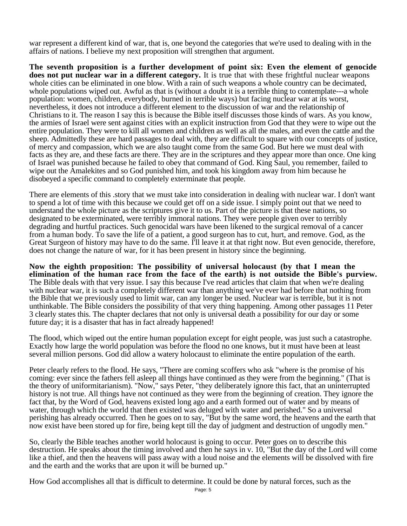war represent a different kind of war, that is, one beyond the categories that we're used to dealing with in the affairs of nations. I believe my next proposition will strengthen that argument.

**The seventh proposition is a further development of point six: Even the element of genocide does not put nuclear war in a different category.** It is true that with these frightful nuclear weapons whole cities can be eliminated in one blow. With a rain of such weapons a whole country can be decimated, whole populations wiped out. Awful as that is (without a doubt it is a terrible thing to contemplate---a whole population: women, children, everybody, burned in terrible ways) but facing nuclear war at its worst, nevertheless, it does not introduce a different element to the discussion of war and the relationship of Christians to it. The reason I say this is because the Bible itself discusses those kinds of wars. As you know, the armies of Israel were sent against cities with an explicit instruction from God that they were to wipe out the entire population. They were to kill all women and children as well as all the males, and even the cattle and the sheep. Admittedly these are hard passages to deal with, they are difficult to square with our concepts of justice, of mercy and compassion, which we are also taught come from the same God. But here we must deal with facts as they are, and these facts are there. They are in the scriptures and they appear more than once. One king of Israel was punished because he failed to obey that command of God. King Saul, you remember, failed to wipe out the Amalekites and so God punished him, and took his kingdom away from him because he disobeyed a specific command to completely exterminate that people.

There are elements of this .story that we must take into consideration in dealing with nuclear war. I don't want to spend a lot of time with this because we could get off on a side issue. I simply point out that we need to understand the whole picture as the scriptures give it to us. Part of the picture is that these nations, so designated to be exterminated, were terribly immoral nations. They were people given over to terribly degrading and hurtful practices. Such genocidal wars have been likened to the surgical removal of a cancer from a human body. To save the life of a patient, a good surgeon has to cut, hurt, and remove. God, as the Great Surgeon of history may have to do the same. I'll leave it at that right now. But even genocide, therefore, does not change the nature of war, for it has been present in history since the beginning.

**Now the eighth proposition: The possibility of universal holocaust (by that I mean the elimination of the human race from the face of the earth) is not outside the Bible's purview.** The Bible deals with that very issue. I say this because I've read articles that claim that when we're dealing with nuclear war, it is such a completely different war than anything we've ever had before that nothing from the Bible that we previously used to limit war, can any longer be used. Nuclear war is terrible, but it is not unthinkable. The Bible considers the possibility of that very thing happening. Among other passages 11 Peter 3 clearly states this. The chapter declares that not only is universal death a possibility for our day or some future day; it is a disaster that has in fact already happened!

The flood, which wiped out the entire human population except for eight people, was just such a catastrophe. Exactly how large the world population was before the flood no one knows, but it must have been at least several million persons. God did allow a watery holocaust to eliminate the entire population of the earth.

Peter clearly refers to the flood. He says, "There are coming scoffers who ask "where is the promise of his coming: ever since the fathers fell asleep all things have continued as they were from the beginning." (That is the theory of uniformitarianism). "Now," says Peter, "they deliberately ignore this fact, that an uninterrupted history is not true. All things have not continued as they were from the beginning of creation. They ignore the fact that, by the Word of God, heavens existed long ago and a earth formed out of water and by means of water, through which the world that then existed was deluged with water and perished." So a universal perishing has already occurred. Then he goes on to say, "But by the same word, the heavens and the earth that now exist have been stored up for fire, being kept till the day of judgment and destruction of ungodly men."

So, clearly the Bible teaches another world holocaust is going to occur. Peter goes on to describe this destruction. He speaks about the timing involved and then he says in v. 10, "But the day of the Lord will come like a thief, and then the heavens will pass away with a loud noise and the elements will be dissolved with fire and the earth and the works that are upon it will be burned up."

How God accomplishes all that is difficult to determine. It could be done by natural forces, such as the